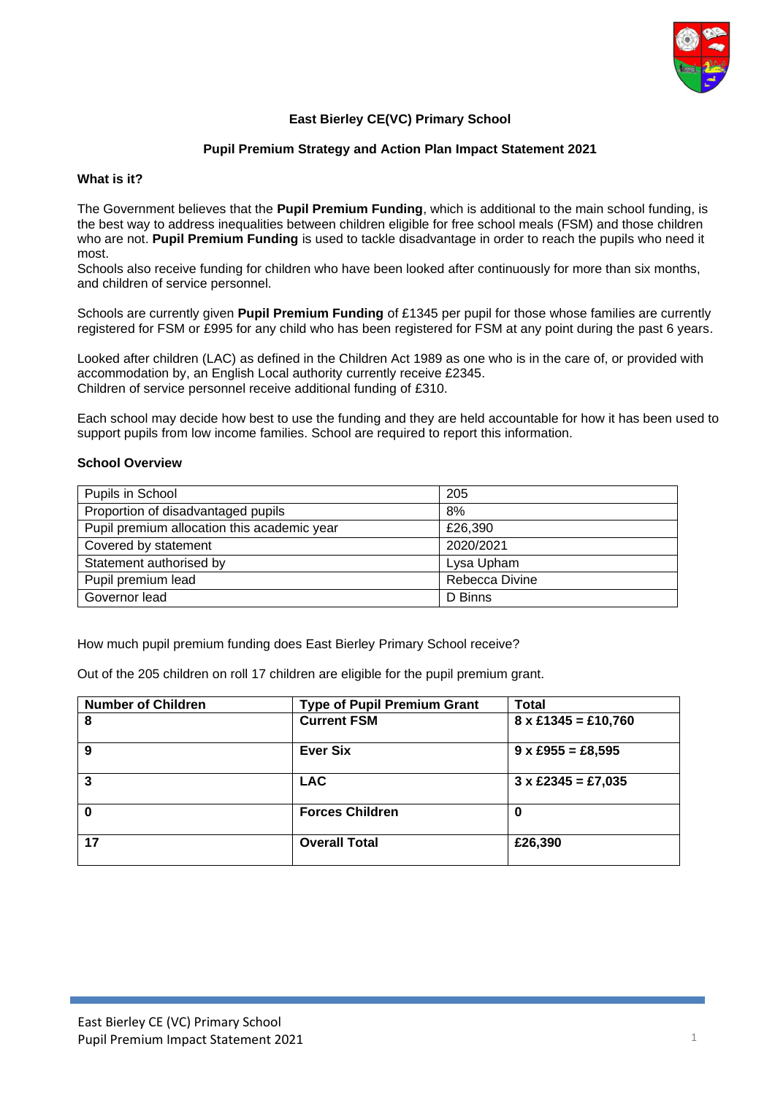

## **East Bierley CE(VC) Primary School**

#### **Pupil Premium Strategy and Action Plan Impact Statement 2021**

#### **What is it?**

The Government believes that the **Pupil Premium Funding**, which is additional to the main school funding, is the best way to address inequalities between children eligible for free school meals (FSM) and those children who are not. **Pupil Premium Funding** is used to tackle disadvantage in order to reach the pupils who need it most.

Schools also receive funding for children who have been looked after continuously for more than six months, and children of service personnel.

Schools are currently given **Pupil Premium Funding** of £1345 per pupil for those whose families are currently registered for FSM or £995 for any child who has been registered for FSM at any point during the past 6 years.

Looked after children (LAC) as defined in the Children Act 1989 as one who is in the care of, or provided with accommodation by, an English Local authority currently receive £2345. Children of service personnel receive additional funding of £310.

Each school may decide how best to use the funding and they are held accountable for how it has been used to support pupils from low income families. School are required to report this information.

#### **School Overview**

| Pupils in School                            | 205            |
|---------------------------------------------|----------------|
| Proportion of disadvantaged pupils          | 8%             |
| Pupil premium allocation this academic year | £26,390        |
| Covered by statement                        | 2020/2021      |
| Statement authorised by                     | Lysa Upham     |
| Pupil premium lead                          | Rebecca Divine |
| Governor lead                               | D Binns        |

How much pupil premium funding does East Bierley Primary School receive?

Out of the 205 children on roll 17 children are eligible for the pupil premium grant.

| <b>Number of Children</b> | <b>Type of Pupil Premium Grant</b> | <b>Total</b>               |
|---------------------------|------------------------------------|----------------------------|
| 8                         | <b>Current FSM</b>                 | $8 \times £1345 = £10,760$ |
| 9                         | <b>Ever Six</b>                    | $9 \times £955 = £8,595$   |
| 3                         | <b>LAC</b>                         | $3 \times £2345 = £7,035$  |
| O                         | <b>Forces Children</b>             | 0                          |
| 17                        | <b>Overall Total</b>               | £26,390                    |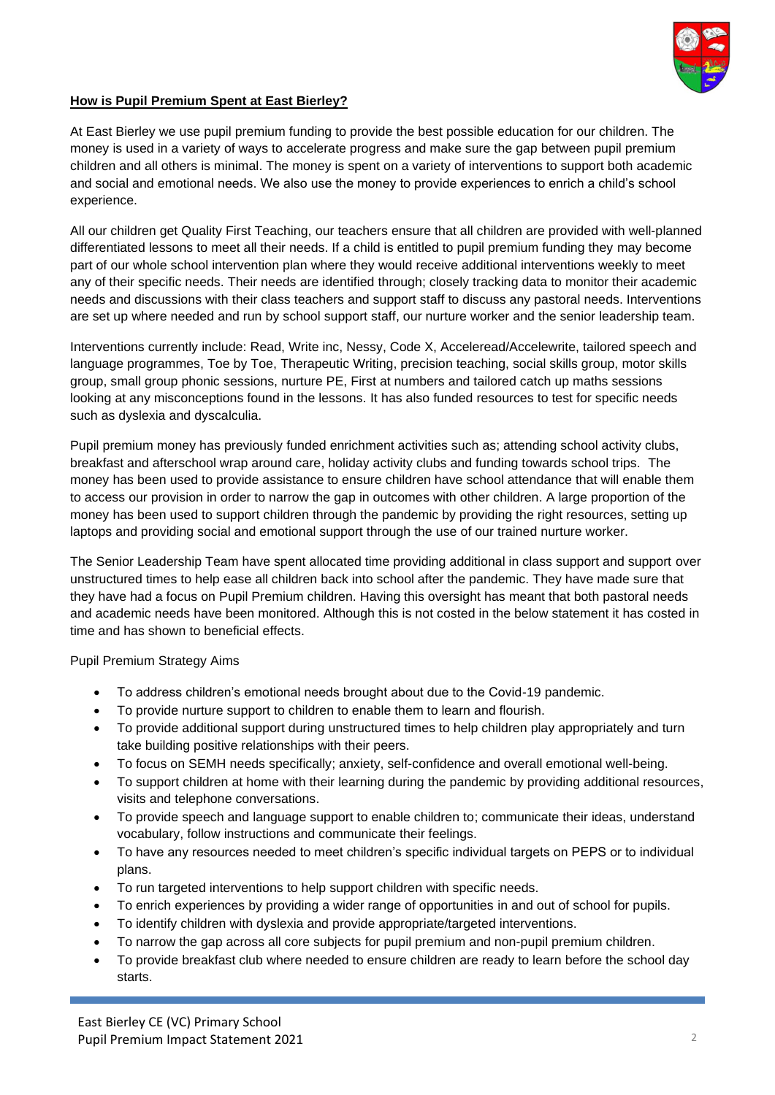

## **How is Pupil Premium Spent at East Bierley?**

At East Bierley we use pupil premium funding to provide the best possible education for our children. The money is used in a variety of ways to accelerate progress and make sure the gap between pupil premium children and all others is minimal. The money is spent on a variety of interventions to support both academic and social and emotional needs. We also use the money to provide experiences to enrich a child's school experience.

All our children get Quality First Teaching, our teachers ensure that all children are provided with well-planned differentiated lessons to meet all their needs. If a child is entitled to pupil premium funding they may become part of our whole school intervention plan where they would receive additional interventions weekly to meet any of their specific needs. Their needs are identified through; closely tracking data to monitor their academic needs and discussions with their class teachers and support staff to discuss any pastoral needs. Interventions are set up where needed and run by school support staff, our nurture worker and the senior leadership team.

Interventions currently include: Read, Write inc, Nessy, Code X, Acceleread/Accelewrite, tailored speech and language programmes, Toe by Toe, Therapeutic Writing, precision teaching, social skills group, motor skills group, small group phonic sessions, nurture PE, First at numbers and tailored catch up maths sessions looking at any misconceptions found in the lessons. It has also funded resources to test for specific needs such as dyslexia and dyscalculia.

Pupil premium money has previously funded enrichment activities such as; attending school activity clubs, breakfast and afterschool wrap around care, holiday activity clubs and funding towards school trips. The money has been used to provide assistance to ensure children have school attendance that will enable them to access our provision in order to narrow the gap in outcomes with other children. A large proportion of the money has been used to support children through the pandemic by providing the right resources, setting up laptops and providing social and emotional support through the use of our trained nurture worker.

The Senior Leadership Team have spent allocated time providing additional in class support and support over unstructured times to help ease all children back into school after the pandemic. They have made sure that they have had a focus on Pupil Premium children. Having this oversight has meant that both pastoral needs and academic needs have been monitored. Although this is not costed in the below statement it has costed in time and has shown to beneficial effects.

Pupil Premium Strategy Aims

- To address children's emotional needs brought about due to the Covid-19 pandemic.
- To provide nurture support to children to enable them to learn and flourish.
- To provide additional support during unstructured times to help children play appropriately and turn take building positive relationships with their peers.
- To focus on SEMH needs specifically; anxiety, self-confidence and overall emotional well-being.
- To support children at home with their learning during the pandemic by providing additional resources, visits and telephone conversations.
- To provide speech and language support to enable children to; communicate their ideas, understand vocabulary, follow instructions and communicate their feelings.
- To have any resources needed to meet children's specific individual targets on PEPS or to individual plans.
- To run targeted interventions to help support children with specific needs.
- To enrich experiences by providing a wider range of opportunities in and out of school for pupils.
- To identify children with dyslexia and provide appropriate/targeted interventions.
- To narrow the gap across all core subjects for pupil premium and non-pupil premium children.
- To provide breakfast club where needed to ensure children are ready to learn before the school day starts.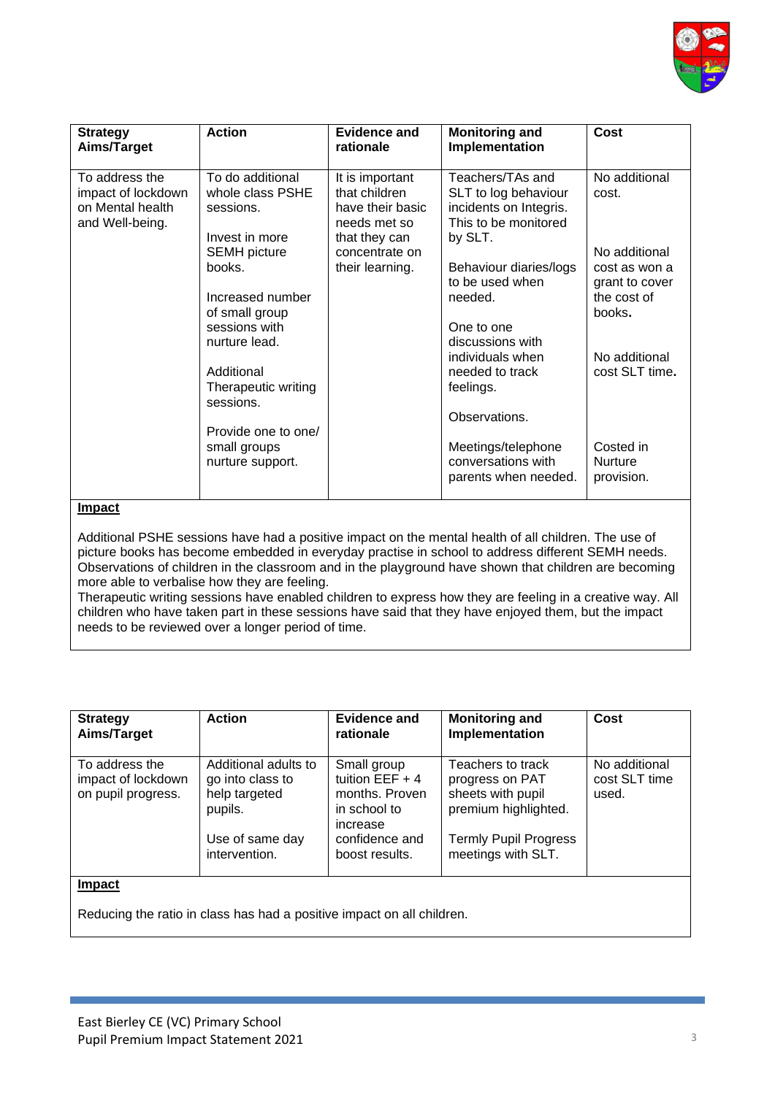

| <b>Strategy</b><br>Aims/Target                                              | <b>Action</b>                                                                                                                                                                                                                                                                             | Evidence and<br>rationale                                                                                                  | <b>Monitoring and</b><br>Implementation                                                                                                                                                                                                                                                                                                  | Cost                                                                                                                                                                                |
|-----------------------------------------------------------------------------|-------------------------------------------------------------------------------------------------------------------------------------------------------------------------------------------------------------------------------------------------------------------------------------------|----------------------------------------------------------------------------------------------------------------------------|------------------------------------------------------------------------------------------------------------------------------------------------------------------------------------------------------------------------------------------------------------------------------------------------------------------------------------------|-------------------------------------------------------------------------------------------------------------------------------------------------------------------------------------|
| To address the<br>impact of lockdown<br>on Mental health<br>and Well-being. | To do additional<br>whole class PSHE<br>sessions.<br>Invest in more<br><b>SEMH</b> picture<br>books.<br>Increased number<br>of small group<br>sessions with<br>nurture lead.<br>Additional<br>Therapeutic writing<br>sessions.<br>Provide one to one/<br>small groups<br>nurture support. | It is important<br>that children<br>have their basic<br>needs met so<br>that they can<br>concentrate on<br>their learning. | Teachers/TAs and<br>SLT to log behaviour<br>incidents on Integris.<br>This to be monitored<br>by SLT.<br>Behaviour diaries/logs<br>to be used when<br>needed.<br>One to one<br>discussions with<br>individuals when<br>needed to track<br>feelings.<br>Observations.<br>Meetings/telephone<br>conversations with<br>parents when needed. | No additional<br>cost.<br>No additional<br>cost as won a<br>grant to cover<br>the cost of<br>books.<br>No additional<br>cost SLT time.<br>Costed in<br><b>Nurture</b><br>provision. |

Additional PSHE sessions have had a positive impact on the mental health of all children. The use of picture books has become embedded in everyday practise in school to address different SEMH needs. Observations of children in the classroom and in the playground have shown that children are becoming more able to verbalise how they are feeling.

Therapeutic writing sessions have enabled children to express how they are feeling in a creative way. All children who have taken part in these sessions have said that they have enjoyed them, but the impact needs to be reviewed over a longer period of time.

| <b>Strategy</b><br>Aims/Target                             | <b>Action</b>                                                                           | <b>Evidence and</b><br>rationale                                                                 | <b>Monitoring and</b><br>Implementation                                                                           | Cost                                    |
|------------------------------------------------------------|-----------------------------------------------------------------------------------------|--------------------------------------------------------------------------------------------------|-------------------------------------------------------------------------------------------------------------------|-----------------------------------------|
| To address the<br>impact of lockdown<br>on pupil progress. | Additional adults to<br>go into class to<br>help targeted<br>pupils.<br>Use of same day | Small group<br>tuition $EEF + 4$<br>months. Proven<br>in school to<br>increase<br>confidence and | Teachers to track<br>progress on PAT<br>sheets with pupil<br>premium highlighted.<br><b>Termly Pupil Progress</b> | No additional<br>cost SLT time<br>used. |
| <b>Impact</b>                                              | intervention.                                                                           | boost results.                                                                                   | meetings with SLT.                                                                                                |                                         |
|                                                            | Deducing the retie in close has hed a positive impost on all children                   |                                                                                                  |                                                                                                                   |                                         |

Reducing the ratio in class has had a positive impact on all children.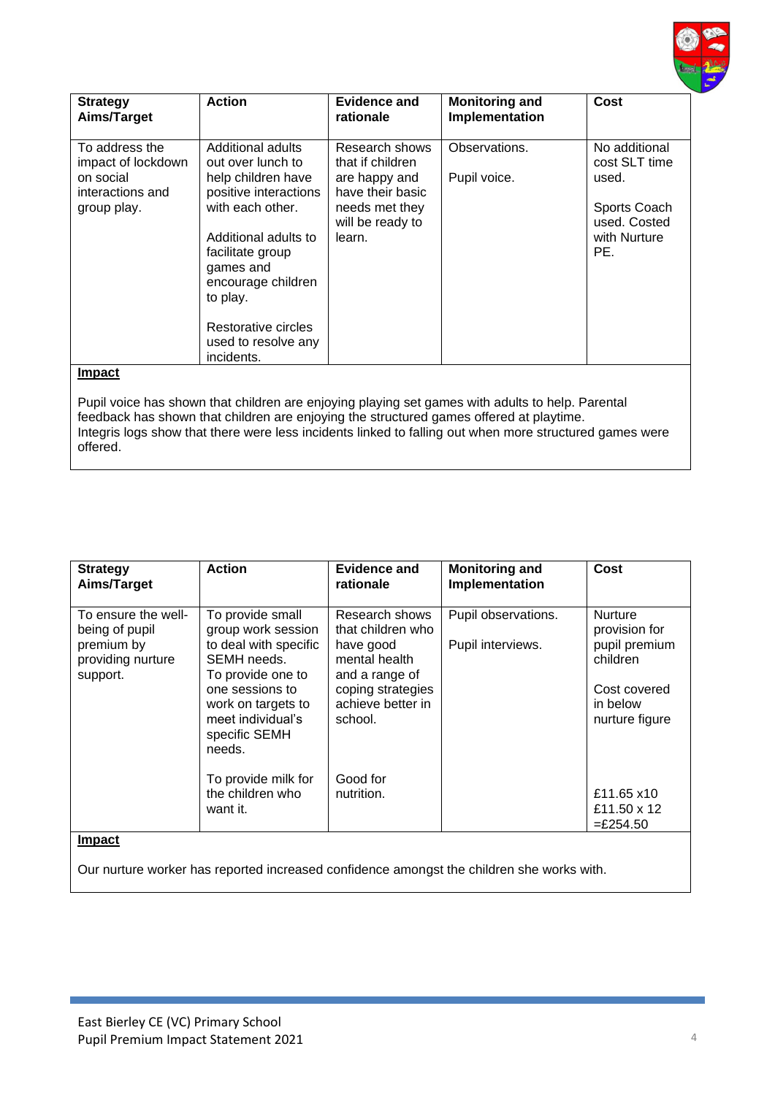

| <b>Strategy</b><br>Aims/Target                                                                                                                                                                                                                                                                                                      | <b>Action</b>                                                                                                                                                                                                                                                    | Evidence and<br>rationale                                                                                               | <b>Monitoring and</b><br>Implementation | Cost                                                                                           |
|-------------------------------------------------------------------------------------------------------------------------------------------------------------------------------------------------------------------------------------------------------------------------------------------------------------------------------------|------------------------------------------------------------------------------------------------------------------------------------------------------------------------------------------------------------------------------------------------------------------|-------------------------------------------------------------------------------------------------------------------------|-----------------------------------------|------------------------------------------------------------------------------------------------|
| To address the<br>impact of lockdown<br>on social<br>interactions and<br>group play.                                                                                                                                                                                                                                                | Additional adults<br>out over lunch to<br>help children have<br>positive interactions<br>with each other.<br>Additional adults to<br>facilitate group<br>games and<br>encourage children<br>to play.<br>Restorative circles<br>used to resolve any<br>incidents. | Research shows<br>that if children<br>are happy and<br>have their basic<br>needs met they<br>will be ready to<br>learn. | Observations.<br>Pupil voice.           | No additional<br>cost SLT time<br>used.<br>Sports Coach<br>used. Costed<br>with Nurture<br>PE. |
| <b>Impact</b><br>Pupil voice has shown that children are enjoying playing set games with adults to help. Parental<br>feedback has shown that children are enjoying the structured games offered at playtime.<br>Integris logs show that there were less incidents linked to falling out when more structured games were<br>offered. |                                                                                                                                                                                                                                                                  |                                                                                                                         |                                         |                                                                                                |

| <b>Strategy</b><br>Aims/Target                                                       | <b>Action</b>                                                                                                                                                                                | Evidence and<br>rationale                                                                                                                | <b>Monitoring and</b><br>Implementation  | Cost                                                                                                       |
|--------------------------------------------------------------------------------------|----------------------------------------------------------------------------------------------------------------------------------------------------------------------------------------------|------------------------------------------------------------------------------------------------------------------------------------------|------------------------------------------|------------------------------------------------------------------------------------------------------------|
| To ensure the well-<br>being of pupil<br>premium by<br>providing nurture<br>support. | To provide small<br>group work session<br>to deal with specific<br>SEMH needs.<br>To provide one to<br>one sessions to<br>work on targets to<br>meet individual's<br>specific SEMH<br>needs. | Research shows<br>that children who<br>have good<br>mental health<br>and a range of<br>coping strategies<br>achieve better in<br>school. | Pupil observations.<br>Pupil interviews. | <b>Nurture</b><br>provision for<br>pupil premium<br>children<br>Cost covered<br>in below<br>nurture figure |
| <b>Impact</b>                                                                        | To provide milk for<br>the children who<br>want it.                                                                                                                                          | Good for<br>nutrition.                                                                                                                   |                                          | £11.65 x10<br>£11.50 x 12<br>$=$ £254.50                                                                   |
|                                                                                      |                                                                                                                                                                                              |                                                                                                                                          |                                          |                                                                                                            |

Our nurture worker has reported increased confidence amongst the children she works with.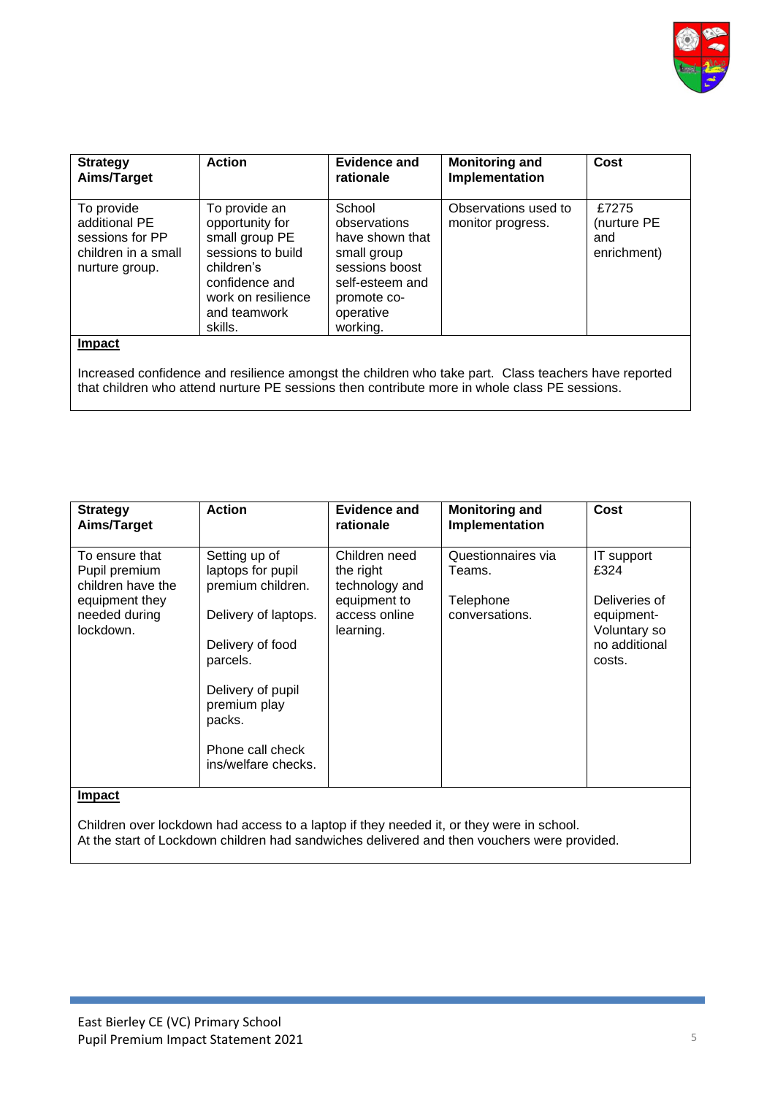

| <b>Strategy</b><br>Aims/Target                                                          | <b>Action</b>                                                                                                                                            | Evidence and<br>rationale                                                                                                             | <b>Monitoring and</b><br>Implementation                                                                                                                                                               | Cost                                       |
|-----------------------------------------------------------------------------------------|----------------------------------------------------------------------------------------------------------------------------------------------------------|---------------------------------------------------------------------------------------------------------------------------------------|-------------------------------------------------------------------------------------------------------------------------------------------------------------------------------------------------------|--------------------------------------------|
| To provide<br>additional PE<br>sessions for PP<br>children in a small<br>nurture group. | To provide an<br>opportunity for<br>small group PE<br>sessions to build<br>children's<br>confidence and<br>work on resilience<br>and teamwork<br>skills. | School<br>observations<br>have shown that<br>small group<br>sessions boost<br>self-esteem and<br>promote co-<br>operative<br>working. | Observations used to<br>monitor progress.                                                                                                                                                             | £7275<br>(nurture PE<br>and<br>enrichment) |
| <b>Impact</b>                                                                           |                                                                                                                                                          |                                                                                                                                       | Increased confidence and resilience amongst the children who take part. Class teachers have reported<br>that children who attend nurture PE sessions then contribute more in whole class PE sessions. |                                            |

| <b>Strategy</b><br>Aims/Target                                                                       | <b>Action</b>                                                                                                                                                                                             | Evidence and<br>rationale                                                                  | <b>Monitoring and</b><br>Implementation                     | Cost                                                                                         |
|------------------------------------------------------------------------------------------------------|-----------------------------------------------------------------------------------------------------------------------------------------------------------------------------------------------------------|--------------------------------------------------------------------------------------------|-------------------------------------------------------------|----------------------------------------------------------------------------------------------|
| To ensure that<br>Pupil premium<br>children have the<br>equipment they<br>needed during<br>lockdown. | Setting up of<br>laptops for pupil<br>premium children.<br>Delivery of laptops.<br>Delivery of food<br>parcels.<br>Delivery of pupil<br>premium play<br>packs.<br>Phone call check<br>ins/welfare checks. | Children need<br>the right<br>technology and<br>equipment to<br>access online<br>learning. | Questionnaires via<br>Teams.<br>Telephone<br>conversations. | IT support<br>£324<br>Deliveries of<br>equipment-<br>Voluntary so<br>no additional<br>costs. |
| <b>Impact</b>                                                                                        |                                                                                                                                                                                                           |                                                                                            |                                                             |                                                                                              |

Children over lockdown had access to a laptop if they needed it, or they were in school. At the start of Lockdown children had sandwiches delivered and then vouchers were provided.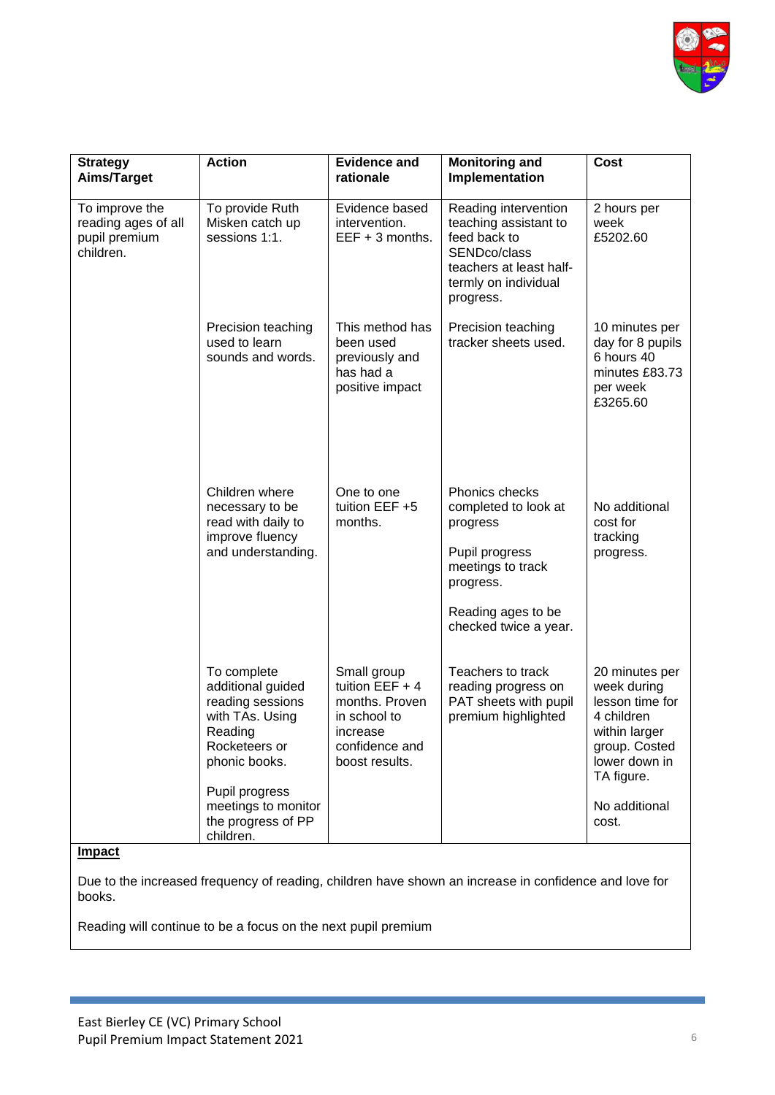

| <b>Strategy</b>                                                     | <b>Action</b>                                                                                                                                                                                    | <b>Evidence and</b>                                                                                                | <b>Monitoring and</b>                                                                                                                                 | Cost                                                                                                                                                      |
|---------------------------------------------------------------------|--------------------------------------------------------------------------------------------------------------------------------------------------------------------------------------------------|--------------------------------------------------------------------------------------------------------------------|-------------------------------------------------------------------------------------------------------------------------------------------------------|-----------------------------------------------------------------------------------------------------------------------------------------------------------|
| Aims/Target                                                         |                                                                                                                                                                                                  | rationale                                                                                                          | Implementation                                                                                                                                        |                                                                                                                                                           |
| To improve the<br>reading ages of all<br>pupil premium<br>children. | To provide Ruth<br>Misken catch up<br>sessions 1:1.                                                                                                                                              | Evidence based<br>intervention.<br>$EEF + 3$ months.                                                               | Reading intervention<br>teaching assistant to<br>feed back to<br>SENDco/class<br>teachers at least half-<br>termly on individual<br>progress.         | 2 hours per<br>week<br>£5202.60                                                                                                                           |
|                                                                     | Precision teaching<br>used to learn<br>sounds and words.                                                                                                                                         | This method has<br>been used<br>previously and<br>has had a<br>positive impact                                     | Precision teaching<br>tracker sheets used.                                                                                                            | 10 minutes per<br>day for 8 pupils<br>6 hours 40<br>minutes £83.73<br>per week<br>£3265.60                                                                |
|                                                                     | Children where<br>necessary to be<br>read with daily to<br>improve fluency<br>and understanding.                                                                                                 | One to one<br>tuition EEF +5<br>months.                                                                            | Phonics checks<br>completed to look at<br>progress<br>Pupil progress<br>meetings to track<br>progress.<br>Reading ages to be<br>checked twice a year. | No additional<br>cost for<br>tracking<br>progress.                                                                                                        |
|                                                                     | To complete<br>additional guided<br>reading sessions<br>with TAs. Using<br>Reading<br>Rocketeers or<br>phonic books.<br>Pupil progress<br>meetings to monitor<br>the progress of PP<br>children. | Small group<br>tuition $EEF + 4$<br>months. Proven<br>in school to<br>increase<br>confidence and<br>boost results. | Teachers to track<br>reading progress on<br>PAT sheets with pupil<br>premium highlighted                                                              | 20 minutes per<br>week during<br>lesson time for<br>4 children<br>within larger<br>group. Costed<br>lower down in<br>TA figure.<br>No additional<br>cost. |

Due to the increased frequency of reading, children have shown an increase in confidence and love for books.

Reading will continue to be a focus on the next pupil premium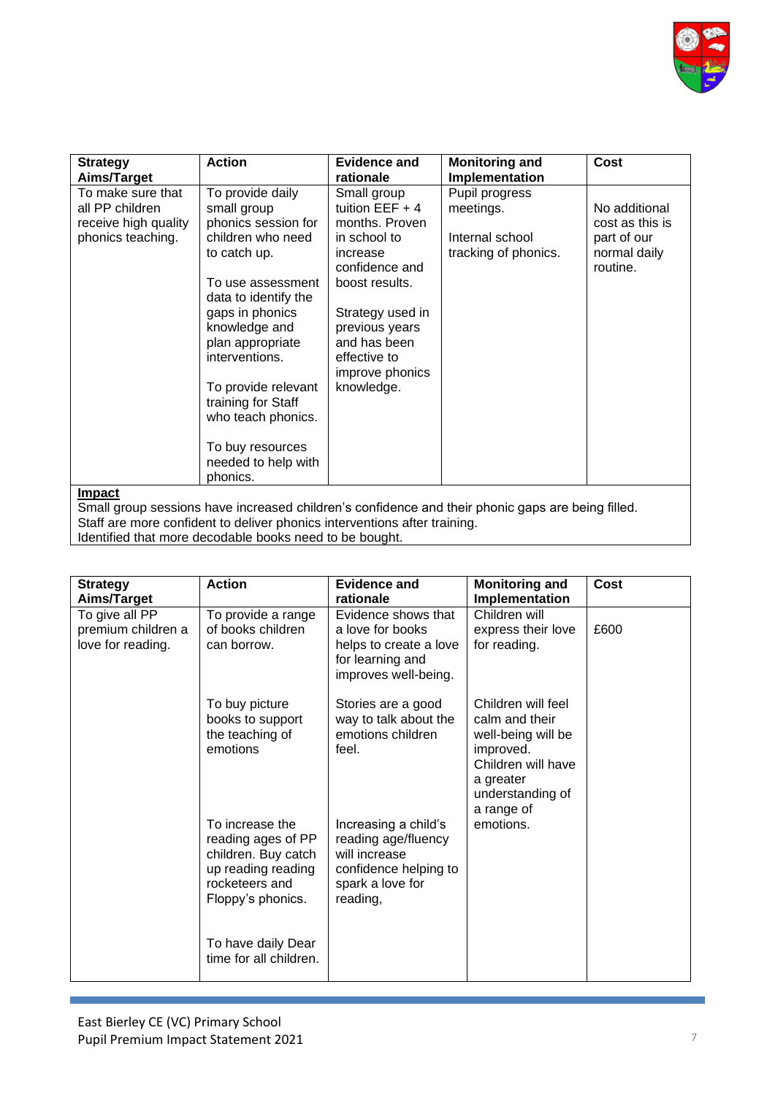

| <b>Strategy</b>                                                                   | <b>Action</b>                                                                               | <b>Evidence and</b>                                                                   | <b>Monitoring and</b>                                                  | Cost                                                            |
|-----------------------------------------------------------------------------------|---------------------------------------------------------------------------------------------|---------------------------------------------------------------------------------------|------------------------------------------------------------------------|-----------------------------------------------------------------|
| Aims/Target                                                                       |                                                                                             | rationale                                                                             | Implementation                                                         |                                                                 |
| To make sure that<br>all PP children<br>receive high quality<br>phonics teaching. | To provide daily<br>small group<br>phonics session for<br>children who need<br>to catch up. | Small group<br>tuition $EEF + 4$<br>months. Proven<br>in school to<br>increase        | Pupil progress<br>meetings.<br>Internal school<br>tracking of phonics. | No additional<br>cost as this is<br>part of our<br>normal daily |
|                                                                                   | To use assessment<br>data to identify the                                                   | confidence and<br>boost results.                                                      |                                                                        | routine.                                                        |
|                                                                                   | gaps in phonics<br>knowledge and<br>plan appropriate<br>interventions.                      | Strategy used in<br>previous years<br>and has been<br>effective to<br>improve phonics |                                                                        |                                                                 |
|                                                                                   | To provide relevant<br>training for Staff<br>who teach phonics.                             | knowledge.                                                                            |                                                                        |                                                                 |
|                                                                                   | To buy resources<br>needed to help with<br>phonics.                                         |                                                                                       |                                                                        |                                                                 |
| <u>Impact</u>                                                                     |                                                                                             |                                                                                       |                                                                        |                                                                 |

Small group sessions have increased children's confidence and their phonic gaps are being filled. Staff are more confident to deliver phonics interventions after training. Identified that more decodable books need to be bought.

| <b>Strategy</b>                         | <b>Action</b>                        | Evidence and                                | <b>Monitoring and</b>                | Cost |
|-----------------------------------------|--------------------------------------|---------------------------------------------|--------------------------------------|------|
| Aims/Target                             |                                      | rationale                                   | Implementation                       |      |
| To give all PP                          | To provide a range                   | Evidence shows that                         | Children will                        |      |
| premium children a<br>love for reading. | of books children<br>can borrow.     | a love for books<br>helps to create a love  | express their love<br>for reading.   | £600 |
|                                         |                                      | for learning and<br>improves well-being.    |                                      |      |
|                                         |                                      |                                             |                                      |      |
|                                         | To buy picture                       | Stories are a good                          | Children will feel                   |      |
|                                         | books to support<br>the teaching of  | way to talk about the<br>emotions children  | calm and their<br>well-being will be |      |
|                                         | emotions                             | feel.                                       | improved.                            |      |
|                                         |                                      |                                             | Children will have<br>a greater      |      |
|                                         |                                      |                                             | understanding of                     |      |
|                                         | To increase the                      |                                             | a range of<br>emotions.              |      |
|                                         | reading ages of PP                   | Increasing a child's<br>reading age/fluency |                                      |      |
|                                         | children. Buy catch                  | will increase                               |                                      |      |
|                                         | up reading reading<br>rocketeers and | confidence helping to<br>spark a love for   |                                      |      |
|                                         | Floppy's phonics.                    | reading,                                    |                                      |      |
|                                         |                                      |                                             |                                      |      |
|                                         | To have daily Dear                   |                                             |                                      |      |
|                                         | time for all children.               |                                             |                                      |      |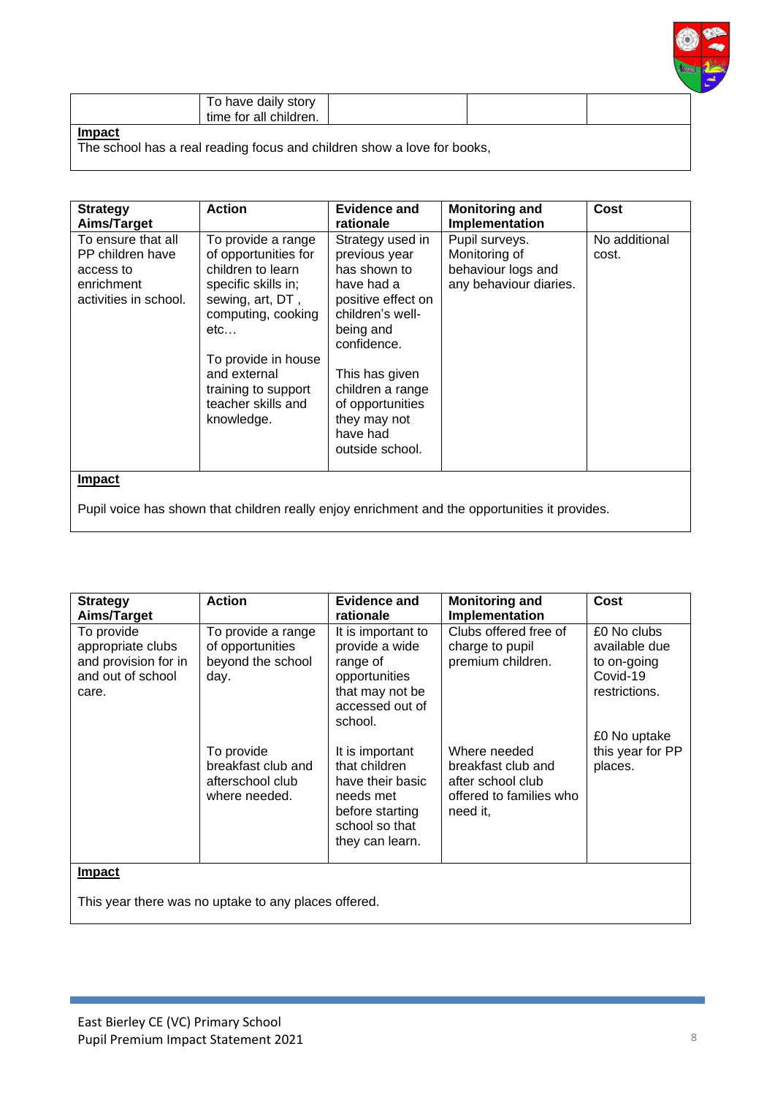

|  | story<br>have<br>daily<br>ັ<br>tıme<br>childrer<br>tor<br>all<br>ren. |  |  |  |
|--|-----------------------------------------------------------------------|--|--|--|
|--|-----------------------------------------------------------------------|--|--|--|

The school has a real reading focus and children show a love for books,

| <b>Strategy</b>                                                                            | <b>Action</b>                                                                                                                                                                                                                             | Evidence and                                                                                                                                                                                                                                   | <b>Monitoring and</b>                                                                          | Cost                   |
|--------------------------------------------------------------------------------------------|-------------------------------------------------------------------------------------------------------------------------------------------------------------------------------------------------------------------------------------------|------------------------------------------------------------------------------------------------------------------------------------------------------------------------------------------------------------------------------------------------|------------------------------------------------------------------------------------------------|------------------------|
| Aims/Target                                                                                |                                                                                                                                                                                                                                           | rationale                                                                                                                                                                                                                                      | Implementation                                                                                 |                        |
| To ensure that all<br>PP children have<br>access to<br>enrichment<br>activities in school. | To provide a range<br>of opportunities for<br>children to learn<br>specific skills in;<br>sewing, art, DT,<br>computing, cooking<br>etc<br>To provide in house<br>and external<br>training to support<br>teacher skills and<br>knowledge. | Strategy used in<br>previous year<br>has shown to<br>have had a<br>positive effect on<br>children's well-<br>being and<br>confidence.<br>This has given<br>children a range<br>of opportunities<br>they may not<br>have had<br>outside school. | Pupil surveys.<br>Monitoring of<br>behaviour logs and<br>any behaviour diaries.                | No additional<br>cost. |
| <b>Impact</b>                                                                              |                                                                                                                                                                                                                                           |                                                                                                                                                                                                                                                | Pupil voice has shown that children really enjoy enrichment and the opportunities it provides. |                        |

| <b>Strategy</b>                                                                       | <b>Action</b>                                                         | <b>Evidence and</b>                                                                                                       | <b>Monitoring and</b>                                                                          | Cost                                                                     |
|---------------------------------------------------------------------------------------|-----------------------------------------------------------------------|---------------------------------------------------------------------------------------------------------------------------|------------------------------------------------------------------------------------------------|--------------------------------------------------------------------------|
| Aims/Target                                                                           |                                                                       | rationale                                                                                                                 | <b>Implementation</b>                                                                          |                                                                          |
| To provide<br>appropriate clubs<br>and provision for in<br>and out of school<br>care. | To provide a range<br>of opportunities<br>beyond the school<br>day.   | It is important to<br>provide a wide<br>range of<br>opportunities<br>that may not be<br>accessed out of<br>school.        | Clubs offered free of<br>charge to pupil<br>premium children.                                  | £0 No clubs<br>available due<br>to on-going<br>Covid-19<br>restrictions. |
|                                                                                       | To provide<br>breakfast club and<br>afterschool club<br>where needed. | It is important<br>that children<br>have their basic<br>needs met<br>before starting<br>school so that<br>they can learn. | Where needed<br>breakfast club and<br>after school club<br>offered to families who<br>need it. | £0 No uptake<br>this year for PP<br>places.                              |
| <b>Impact</b>                                                                         | This year there was no uptake to any places offered.                  |                                                                                                                           |                                                                                                |                                                                          |
|                                                                                       |                                                                       |                                                                                                                           |                                                                                                |                                                                          |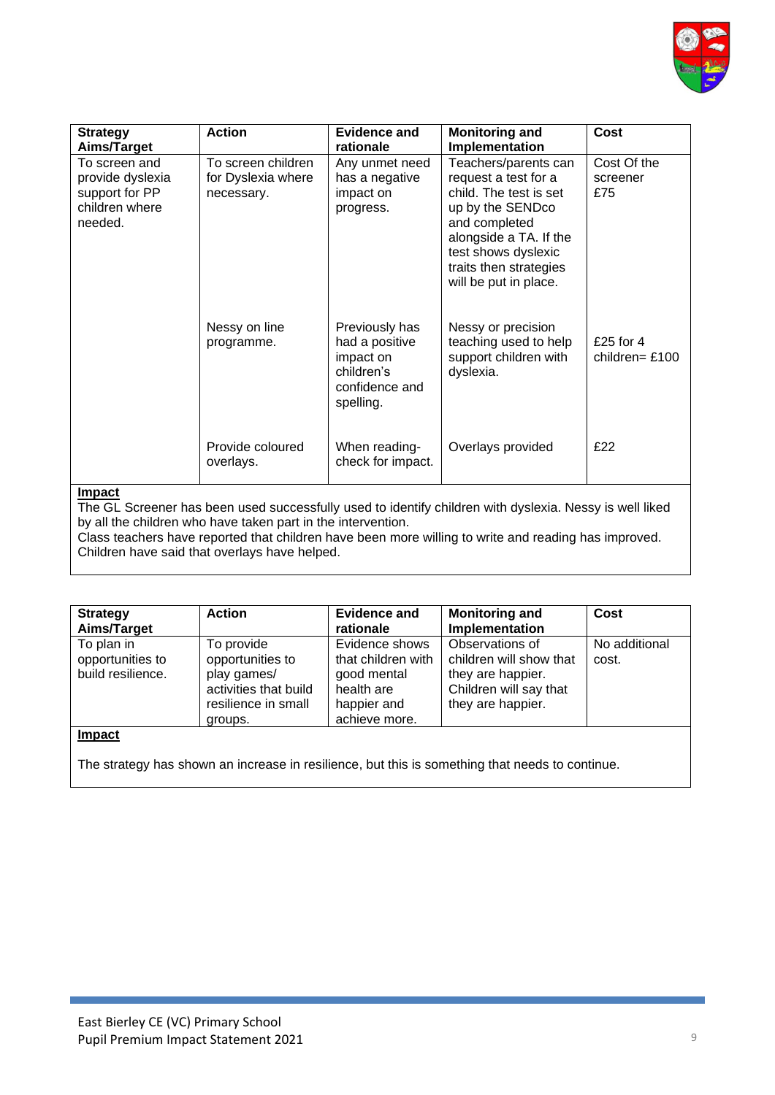

| <b>Strategy</b>  | <b>Action</b>      | Evidence and      | <b>Monitoring and</b>  | Cost             |
|------------------|--------------------|-------------------|------------------------|------------------|
| Aims/Target      |                    | rationale         | Implementation         |                  |
| To screen and    | To screen children | Any unmet need    | Teachers/parents can   | Cost Of the      |
| provide dyslexia | for Dyslexia where | has a negative    | request a test for a   | screener         |
| support for PP   | necessary.         | impact on         | child. The test is set | £75              |
| children where   |                    | progress.         | up by the SENDco       |                  |
| needed.          |                    |                   | and completed          |                  |
|                  |                    |                   | alongside a TA. If the |                  |
|                  |                    |                   | test shows dyslexic    |                  |
|                  |                    |                   | traits then strategies |                  |
|                  |                    |                   |                        |                  |
|                  |                    |                   | will be put in place.  |                  |
|                  |                    |                   |                        |                  |
|                  |                    |                   |                        |                  |
|                  | Nessy on line      | Previously has    | Nessy or precision     |                  |
|                  | programme.         | had a positive    | teaching used to help  | £25 for $4$      |
|                  |                    | impact on         | support children with  | children= $£100$ |
|                  |                    | children's        | dyslexia.              |                  |
|                  |                    | confidence and    |                        |                  |
|                  |                    | spelling.         |                        |                  |
|                  |                    |                   |                        |                  |
|                  |                    |                   |                        |                  |
|                  | Provide coloured   | When reading-     | Overlays provided      | £22              |
|                  |                    | check for impact. |                        |                  |
|                  | overlays.          |                   |                        |                  |
| Imnact           |                    |                   |                        |                  |

The GL Screener has been used successfully used to identify children with dyslexia. Nessy is well liked by all the children who have taken part in the intervention.

Class teachers have reported that children have been more willing to write and reading has improved. Children have said that overlays have helped.

| <b>Strategy</b><br>Aims/Target                      | <b>Action</b>                                                                                            | <b>Evidence and</b><br>rationale                                                                  | <b>Monitoring and</b><br>Implementation                                                                        | Cost                   |
|-----------------------------------------------------|----------------------------------------------------------------------------------------------------------|---------------------------------------------------------------------------------------------------|----------------------------------------------------------------------------------------------------------------|------------------------|
| To plan in<br>opportunities to<br>build resilience. | To provide<br>opportunities to<br>play games/<br>activities that build<br>resilience in small<br>groups. | Evidence shows<br>that children with<br>good mental<br>health are<br>happier and<br>achieve more. | Observations of<br>children will show that<br>they are happier.<br>Children will say that<br>they are happier. | No additional<br>cost. |
| Impact                                              |                                                                                                          |                                                                                                   |                                                                                                                |                        |

The strategy has shown an increase in resilience, but this is something that needs to continue.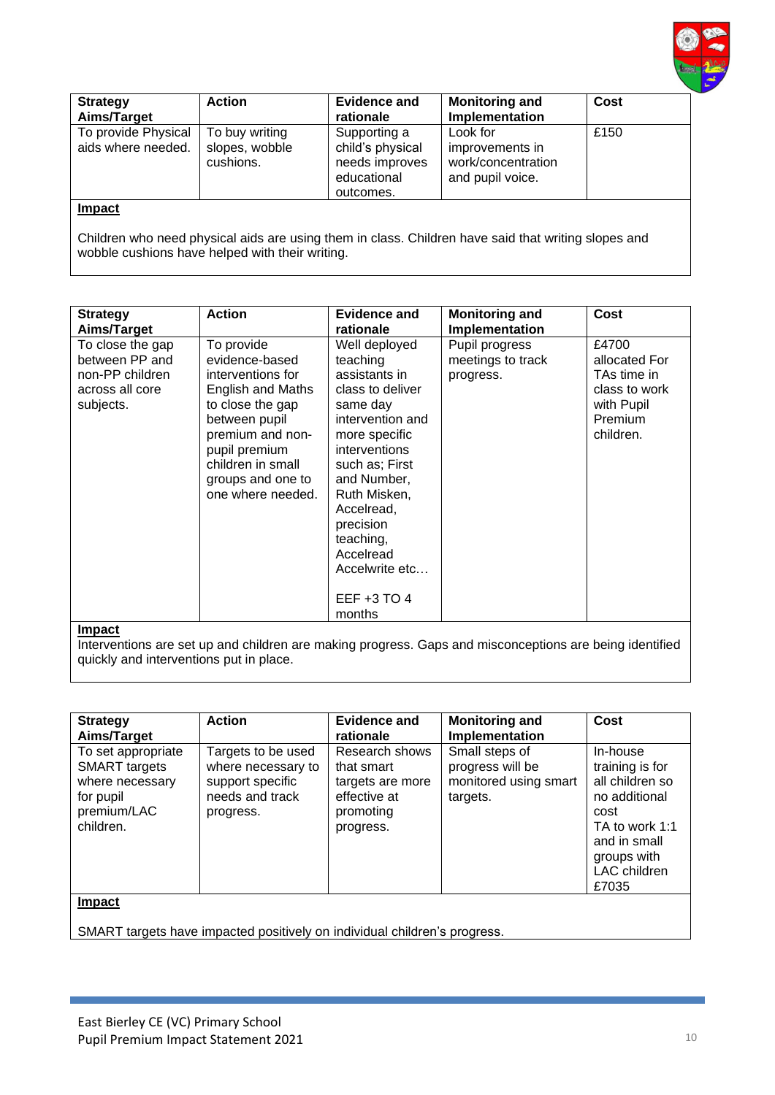

| <b>Strategy</b><br>Aims/Target            | <b>Action</b>                                 | <b>Evidence and</b><br>rationale                                               | <b>Monitoring and</b><br>Implementation                               | Cost |
|-------------------------------------------|-----------------------------------------------|--------------------------------------------------------------------------------|-----------------------------------------------------------------------|------|
| To provide Physical<br>aids where needed. | To buy writing<br>slopes, wobble<br>cushions. | Supporting a<br>child's physical<br>needs improves<br>educational<br>outcomes. | Look for<br>improvements in<br>work/concentration<br>and pupil voice. | £150 |
| <b>Impact</b>                             |                                               |                                                                                |                                                                       |      |

Children who need physical aids are using them in class. Children have said that writing slopes and wobble cushions have helped with their writing.

| <b>Strategy</b>                                                                       | <b>Action</b>                                                                                                                                                                                                          | <b>Evidence and</b>                                                                                                                                                                                                                                                       | <b>Monitoring and</b>                            | Cost                                                                                         |
|---------------------------------------------------------------------------------------|------------------------------------------------------------------------------------------------------------------------------------------------------------------------------------------------------------------------|---------------------------------------------------------------------------------------------------------------------------------------------------------------------------------------------------------------------------------------------------------------------------|--------------------------------------------------|----------------------------------------------------------------------------------------------|
| Aims/Target                                                                           |                                                                                                                                                                                                                        | rationale                                                                                                                                                                                                                                                                 | Implementation                                   |                                                                                              |
| To close the gap<br>between PP and<br>non-PP children<br>across all core<br>subjects. | To provide<br>evidence-based<br>interventions for<br><b>English and Maths</b><br>to close the gap<br>between pupil<br>premium and non-<br>pupil premium<br>children in small<br>groups and one to<br>one where needed. | Well deployed<br>teaching<br>assistants in<br>class to deliver<br>same day<br>intervention and<br>more specific<br>interventions<br>such as; First<br>and Number,<br>Ruth Misken,<br>Accelread,<br>precision<br>teaching,<br>Accelread<br>Accelwrite etc<br>EEF $+3$ TO 4 | Pupil progress<br>meetings to track<br>progress. | £4700<br>allocated For<br>TAs time in<br>class to work<br>with Pupil<br>Premium<br>children. |
| <b>Impact</b>                                                                         |                                                                                                                                                                                                                        | months                                                                                                                                                                                                                                                                    |                                                  |                                                                                              |
|                                                                                       |                                                                                                                                                                                                                        |                                                                                                                                                                                                                                                                           |                                                  |                                                                                              |

Interventions are set up and children are making progress. Gaps and misconceptions are being identified quickly and interventions put in place.

| <b>Strategy</b><br>Aims/Target                                                                         | <b>Action</b>                                                                                | Evidence and<br>rationale                                                                  | <b>Monitoring and</b><br>Implementation                                 | Cost                                                                                                                                              |
|--------------------------------------------------------------------------------------------------------|----------------------------------------------------------------------------------------------|--------------------------------------------------------------------------------------------|-------------------------------------------------------------------------|---------------------------------------------------------------------------------------------------------------------------------------------------|
| To set appropriate<br><b>SMART</b> targets<br>where necessary<br>for pupil<br>premium/LAC<br>children. | Targets to be used<br>where necessary to<br>support specific<br>needs and track<br>progress. | Research shows<br>that smart<br>targets are more<br>effective at<br>promoting<br>progress. | Small steps of<br>progress will be<br>monitored using smart<br>targets. | In-house<br>training is for<br>all children so<br>no additional<br>cost<br>TA to work 1:1<br>and in small<br>groups with<br>LAC children<br>£7035 |
| Impact                                                                                                 |                                                                                              |                                                                                            |                                                                         |                                                                                                                                                   |
|                                                                                                        | SMART targets have impacted positively on individual children's progress.                    |                                                                                            |                                                                         |                                                                                                                                                   |